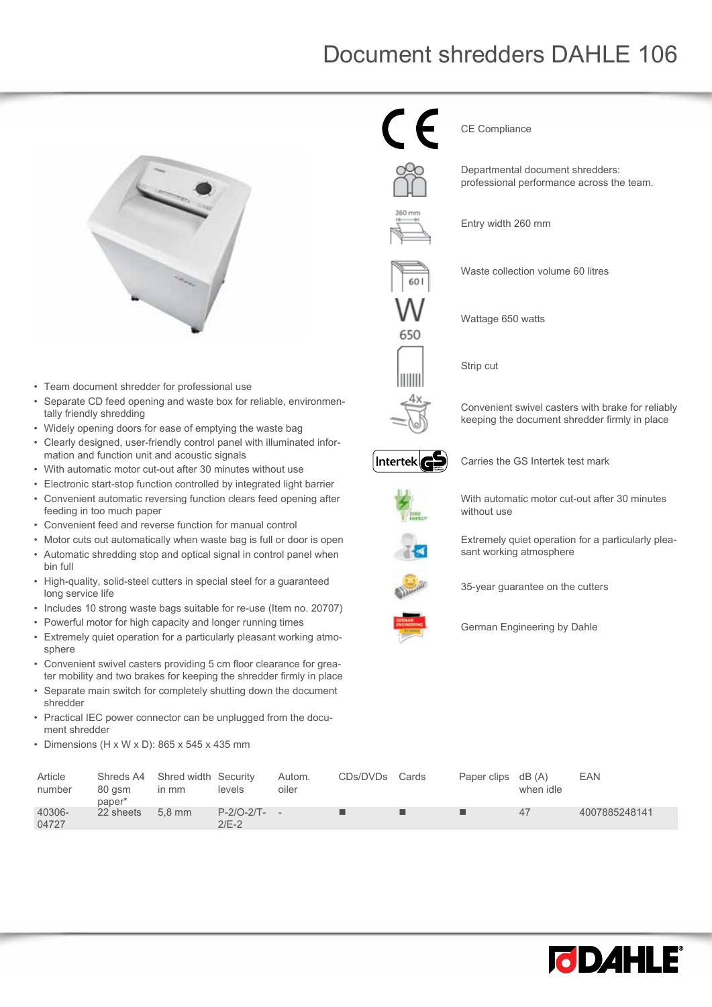## Document shredders DAHLE 106



- Team document shredder for professional use
- Separate CD feed opening and waste box for reliable, environmentally friendly shredding
- Widely opening doors for ease of emptying the waste bag
- Clearly designed, user-friendly control panel with illuminated information and function unit and acoustic signals
- With automatic motor cut-out after 30 minutes without use
- Electronic start-stop function controlled by integrated light barrier
- Convenient automatic reversing function clears feed opening after feeding in too much paper
- Convenient feed and reverse function for manual control
- Motor cuts out automatically when waste bag is full or door is open
- Automatic shredding stop and optical signal in control panel when bin full
- High-quality, solid-steel cutters in special steel for a guaranteed long service life
- Includes 10 strong waste bags suitable for re-use (Item no. 20707)
- Powerful motor for high capacity and longer running times
- Extremely quiet operation for a particularly pleasant working atmosphere
- Convenient swivel casters providing 5 cm floor clearance for greater mobility and two brakes for keeping the shredder firmly in place
- Separate main switch for completely shutting down the document shredder
- Practical IEC power connector can be unplugged from the document shredder
- Dimensions (H x W x D): 865 x 545 x 435 mm

65C IIIIIII CE Compliance

Departmental document shredders: professional performance across the team.

Entry width 260 mm



Wattage 650 watts

Strip cut

Convenient swivel casters with brake for reliably keeping the document shredder firmly in place



Carries the GS Intertek test mark



With automatic motor cut-out after 30 minutes without use

Extremely quiet operation for a particularly pleasant working atmosphere



35-year guarantee on the cutters



German Engineering by Dahle

| Article<br>number | Shreds A4<br>80 asm<br>paper* | Shred width Security<br>$\mathsf{In} \mathsf{mm}$ | levels                    | Autom.<br>oiler | CDs/DVDs | Cards | Paper clips dB (A) | when idle | EAN           |
|-------------------|-------------------------------|---------------------------------------------------|---------------------------|-----------------|----------|-------|--------------------|-----------|---------------|
| 40306-<br>04727   | 22 sheets                     | $5.8$ mm                                          | $P-2/O-2/T- -$<br>$2/E-2$ |                 |          |       |                    | 47        | 4007885248141 |

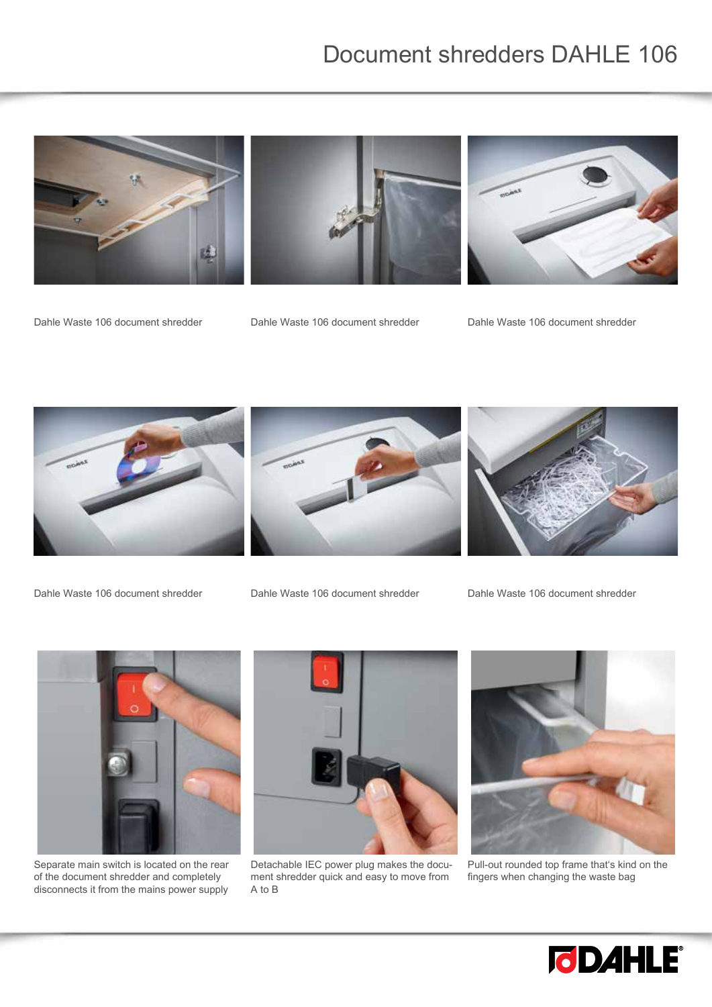## Document shredders DAHLE 106



Dahle Waste 106 document shredder Dahle Waste 106 document shredder Dahle Waste 106 document shredder



Dahle Waste 106 document shredder Dahle Waste 106 document shredder Dahle Waste 106 document shredder







Separate main switch is located on the rear of the document shredder and completely disconnects it from the mains power supply



Detachable IEC power plug makes the document shredder quick and easy to move from A to B



Pull-out rounded top frame that's kind on the fingers when changing the waste bag